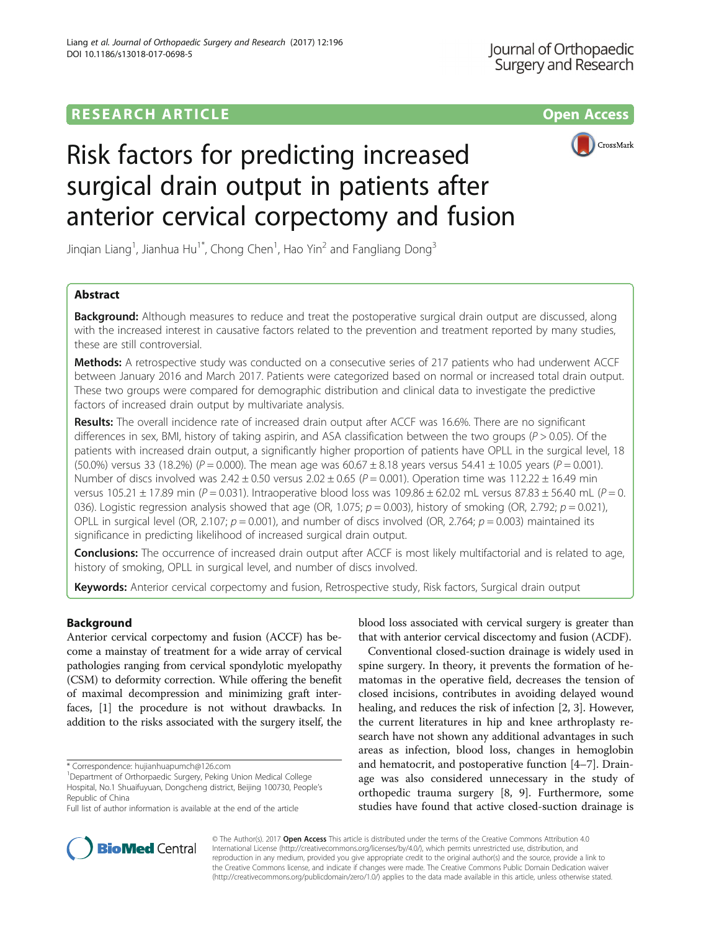# **RESEARCH ARTICLE Example 2014 12:30 The Contract of Contract ACCESS**



# Risk factors for predicting increased surgical drain output in patients after anterior cervical corpectomy and fusion

Jinqian Liang<sup>1</sup>, Jianhua Hu<sup>1\*</sup>, Chong Chen<sup>1</sup>, Hao Yin<sup>2</sup> and Fangliang Dong<sup>3</sup>

# Abstract

**Background:** Although measures to reduce and treat the postoperative surgical drain output are discussed, along with the increased interest in causative factors related to the prevention and treatment reported by many studies, these are still controversial.

Methods: A retrospective study was conducted on a consecutive series of 217 patients who had underwent ACCF between January 2016 and March 2017. Patients were categorized based on normal or increased total drain output. These two groups were compared for demographic distribution and clinical data to investigate the predictive factors of increased drain output by multivariate analysis.

Results: The overall incidence rate of increased drain output after ACCF was 16.6%. There are no significant differences in sex, BMI, history of taking aspirin, and ASA classification between the two groups ( $P > 0.05$ ). Of the patients with increased drain output, a significantly higher proportion of patients have OPLL in the surgical level, 18 (50.0%) versus 33 (18.2%) (P = 0.000). The mean age was  $60.67 \pm 8.18$  years versus 54.41  $\pm$  10.05 years (P = 0.001). Number of discs involved was  $2.42 \pm 0.50$  versus  $2.02 \pm 0.65$  ( $P = 0.001$ ). Operation time was  $112.22 \pm 16.49$  min versus  $105.21 \pm 17.89$  min ( $P = 0.031$ ). Intraoperative blood loss was  $109.86 \pm 62.02$  mL versus  $87.83 \pm 56.40$  mL ( $P = 0$ . 036). Logistic regression analysis showed that age (OR, 1.075;  $p = 0.003$ ), history of smoking (OR, 2.792;  $p = 0.021$ ), OPLL in surgical level (OR, 2.107;  $p = 0.001$ ), and number of discs involved (OR, 2.764;  $p = 0.003$ ) maintained its significance in predicting likelihood of increased surgical drain output.

Conclusions: The occurrence of increased drain output after ACCF is most likely multifactorial and is related to age, history of smoking, OPLL in surgical level, and number of discs involved.

Keywords: Anterior cervical corpectomy and fusion, Retrospective study, Risk factors, Surgical drain output

# Background

Anterior cervical corpectomy and fusion (ACCF) has become a mainstay of treatment for a wide array of cervical pathologies ranging from cervical spondylotic myelopathy (CSM) to deformity correction. While offering the benefit of maximal decompression and minimizing graft interfaces, [\[1\]](#page-4-0) the procedure is not without drawbacks. In addition to the risks associated with the surgery itself, the

blood loss associated with cervical surgery is greater than that with anterior cervical discectomy and fusion (ACDF).

Conventional closed-suction drainage is widely used in spine surgery. In theory, it prevents the formation of hematomas in the operative field, decreases the tension of closed incisions, contributes in avoiding delayed wound healing, and reduces the risk of infection [[2](#page-4-0), [3](#page-4-0)]. However, the current literatures in hip and knee arthroplasty research have not shown any additional advantages in such areas as infection, blood loss, changes in hemoglobin and hematocrit, and postoperative function [[4](#page-4-0)–[7\]](#page-4-0). Drainage was also considered unnecessary in the study of orthopedic trauma surgery [\[8](#page-4-0), [9](#page-4-0)]. Furthermore, some studies have found that active closed-suction drainage is



© The Author(s). 2017 **Open Access** This article is distributed under the terms of the Creative Commons Attribution 4.0 International License [\(http://creativecommons.org/licenses/by/4.0/](http://creativecommons.org/licenses/by/4.0/)), which permits unrestricted use, distribution, and reproduction in any medium, provided you give appropriate credit to the original author(s) and the source, provide a link to the Creative Commons license, and indicate if changes were made. The Creative Commons Public Domain Dedication waiver [\(http://creativecommons.org/publicdomain/zero/1.0/](http://creativecommons.org/publicdomain/zero/1.0/)) applies to the data made available in this article, unless otherwise stated.

<sup>\*</sup> Correspondence: [hujianhuapumch@126.com](mailto:hujianhuapumch@126.com) <sup>1</sup>

<sup>&</sup>lt;sup>1</sup>Department of Orthorpaedic Surgery, Peking Union Medical College Hospital, No.1 Shuaifuyuan, Dongcheng district, Beijing 100730, People's Republic of China

Full list of author information is available at the end of the article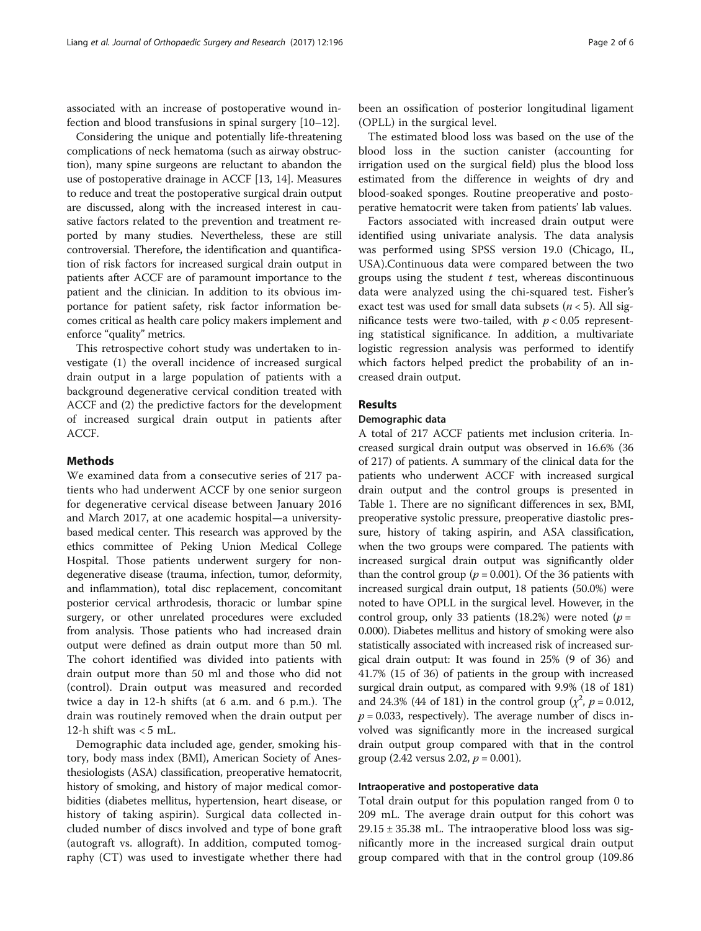associated with an increase of postoperative wound infection and blood transfusions in spinal surgery [[10](#page-4-0)–[12](#page-4-0)].

Considering the unique and potentially life-threatening complications of neck hematoma (such as airway obstruction), many spine surgeons are reluctant to abandon the use of postoperative drainage in ACCF [[13](#page-4-0), [14](#page-4-0)]. Measures to reduce and treat the postoperative surgical drain output are discussed, along with the increased interest in causative factors related to the prevention and treatment reported by many studies. Nevertheless, these are still controversial. Therefore, the identification and quantification of risk factors for increased surgical drain output in patients after ACCF are of paramount importance to the patient and the clinician. In addition to its obvious importance for patient safety, risk factor information becomes critical as health care policy makers implement and enforce "quality" metrics.

This retrospective cohort study was undertaken to investigate (1) the overall incidence of increased surgical drain output in a large population of patients with a background degenerative cervical condition treated with ACCF and (2) the predictive factors for the development of increased surgical drain output in patients after ACCF.

## Methods

We examined data from a consecutive series of 217 patients who had underwent ACCF by one senior surgeon for degenerative cervical disease between January 2016 and March 2017, at one academic hospital—a universitybased medical center. This research was approved by the ethics committee of Peking Union Medical College Hospital. Those patients underwent surgery for nondegenerative disease (trauma, infection, tumor, deformity, and inflammation), total disc replacement, concomitant posterior cervical arthrodesis, thoracic or lumbar spine surgery, or other unrelated procedures were excluded from analysis. Those patients who had increased drain output were defined as drain output more than 50 ml. The cohort identified was divided into patients with drain output more than 50 ml and those who did not (control). Drain output was measured and recorded twice a day in 12-h shifts (at 6 a.m. and 6 p.m.). The drain was routinely removed when the drain output per 12-h shift was  $<$  5 mL.

Demographic data included age, gender, smoking history, body mass index (BMI), American Society of Anesthesiologists (ASA) classification, preoperative hematocrit, history of smoking, and history of major medical comorbidities (diabetes mellitus, hypertension, heart disease, or history of taking aspirin). Surgical data collected included number of discs involved and type of bone graft (autograft vs. allograft). In addition, computed tomography (CT) was used to investigate whether there had been an ossification of posterior longitudinal ligament (OPLL) in the surgical level.

The estimated blood loss was based on the use of the blood loss in the suction canister (accounting for irrigation used on the surgical field) plus the blood loss estimated from the difference in weights of dry and blood-soaked sponges. Routine preoperative and postoperative hematocrit were taken from patients' lab values.

Factors associated with increased drain output were identified using univariate analysis. The data analysis was performed using SPSS version 19.0 (Chicago, IL, USA).Continuous data were compared between the two groups using the student  $t$  test, whereas discontinuous data were analyzed using the chi-squared test. Fisher's exact test was used for small data subsets  $(n < 5)$ . All significance tests were two-tailed, with  $p < 0.05$  representing statistical significance. In addition, a multivariate logistic regression analysis was performed to identify which factors helped predict the probability of an increased drain output.

# Results

# Demographic data

A total of 217 ACCF patients met inclusion criteria. Increased surgical drain output was observed in 16.6% (36 of 217) of patients. A summary of the clinical data for the patients who underwent ACCF with increased surgical drain output and the control groups is presented in Table [1.](#page-2-0) There are no significant differences in sex, BMI, preoperative systolic pressure, preoperative diastolic pressure, history of taking aspirin, and ASA classification, when the two groups were compared. The patients with increased surgical drain output was significantly older than the control group ( $p = 0.001$ ). Of the 36 patients with increased surgical drain output, 18 patients (50.0%) were noted to have OPLL in the surgical level. However, in the control group, only 33 patients (18.2%) were noted ( $p =$ 0.000). Diabetes mellitus and history of smoking were also statistically associated with increased risk of increased surgical drain output: It was found in 25% (9 of 36) and 41.7% (15 of 36) of patients in the group with increased surgical drain output, as compared with 9.9% (18 of 181) and 24.3% (44 of 181) in the control group  $(\chi^2, p = 0.012,$  $p = 0.033$ , respectively). The average number of discs involved was significantly more in the increased surgical drain output group compared with that in the control group (2.42 versus 2.02,  $p = 0.001$ ).

## Intraoperative and postoperative data

Total drain output for this population ranged from 0 to 209 mL. The average drain output for this cohort was  $29.15 \pm 35.38$  mL. The intraoperative blood loss was significantly more in the increased surgical drain output group compared with that in the control group (109.86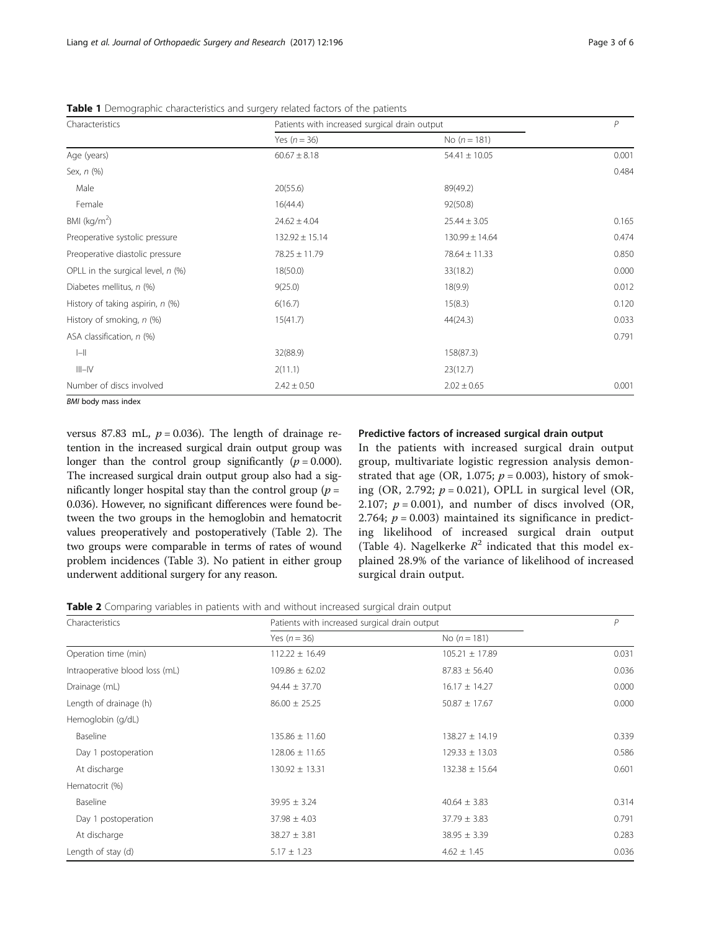| Characteristics                     | Patients with increased surgical drain output |                   | $\mathcal P$ |
|-------------------------------------|-----------------------------------------------|-------------------|--------------|
|                                     | Yes $(n = 36)$                                | No $(n = 181)$    |              |
| Age (years)                         | $60.67 \pm 8.18$                              | $54.41 \pm 10.05$ | 0.001        |
| Sex, n (%)                          |                                               |                   | 0.484        |
| Male                                | 20(55.6)                                      | 89(49.2)          |              |
| Female                              | 16(44.4)                                      | 92(50.8)          |              |
| BMI ( $kg/m2$ )                     | $24.62 \pm 4.04$                              | $25.44 \pm 3.05$  | 0.165        |
| Preoperative systolic pressure      | $132.92 \pm 15.14$                            | 130.99 ± 14.64    | 0.474        |
| Preoperative diastolic pressure     | $78.25 \pm 11.79$                             | $78.64 \pm 11.33$ | 0.850        |
| OPLL in the surgical level, $n$ (%) | 18(50.0)                                      | 33(18.2)          | 0.000        |
| Diabetes mellitus, n (%)            | 9(25.0)                                       | 18(9.9)           | 0.012        |
| History of taking aspirin, n (%)    | 6(16.7)                                       | 15(8.3)           | 0.120        |
| History of smoking, n (%)           | 15(41.7)                                      | 44(24.3)          | 0.033        |
| ASA classification, n (%)           |                                               |                   | 0.791        |
| $ -  $                              | 32(88.9)                                      | 158(87.3)         |              |
| $III-N$                             | 2(11.1)                                       | 23(12.7)          |              |
| Number of discs involved            | $2.42 \pm 0.50$                               | $2.02 \pm 0.65$   | 0.001        |
| RMI hody mass index                 |                                               |                   |              |

<span id="page-2-0"></span>Table 1 Demographic characteristics and surgery related factors of the patients

MI body mass index

versus 87.83 mL,  $p = 0.036$ ). The length of drainage retention in the increased surgical drain output group was longer than the control group significantly  $(p = 0.000)$ . The increased surgical drain output group also had a significantly longer hospital stay than the control group ( $p =$ 0.036). However, no significant differences were found between the two groups in the hemoglobin and hematocrit values preoperatively and postoperatively (Table 2). The two groups were comparable in terms of rates of wound problem incidences (Table [3\)](#page-3-0). No patient in either group underwent additional surgery for any reason.

### Predictive factors of increased surgical drain output

In the patients with increased surgical drain output group, multivariate logistic regression analysis demonstrated that age (OR, 1.075;  $p = 0.003$ ), history of smoking (OR, 2.792;  $p = 0.021$ ), OPLL in surgical level (OR, 2.107;  $p = 0.001$ ), and number of discs involved (OR, 2.764;  $p = 0.003$ ) maintained its significance in predicting likelihood of increased surgical drain output (Table [4\)](#page-3-0). Nagelkerke  $R^2$  indicated that this model explained 28.9% of the variance of likelihood of increased surgical drain output.

| Characteristics                | Patients with increased surgical drain output |                    | $\overline{P}$ |
|--------------------------------|-----------------------------------------------|--------------------|----------------|
|                                | Yes $(n = 36)$                                | No $(n = 181)$     |                |
| Operation time (min)           | $112.22 \pm 16.49$                            | $105.21 \pm 17.89$ | 0.031          |
| Intraoperative blood loss (mL) | $109.86 \pm 62.02$                            | $87.83 \pm 56.40$  | 0.036          |
| Drainage (mL)                  | $94.44 \pm 37.70$                             | $16.17 \pm 14.27$  | 0.000          |
| Length of drainage (h)         | $86.00 \pm 25.25$                             | $50.87 \pm 17.67$  | 0.000          |
| Hemoglobin (g/dL)              |                                               |                    |                |
| Baseline                       | $135.86 \pm 11.60$                            | $138.27 \pm 14.19$ | 0.339          |
| Day 1 postoperation            | $128.06 \pm 11.65$                            | $129.33 \pm 13.03$ | 0.586          |
| At discharge                   | $130.92 \pm 13.31$                            | $132.38 \pm 15.64$ | 0.601          |
| Hematocrit (%)                 |                                               |                    |                |
| Baseline                       | $39.95 \pm 3.24$                              | $40.64 \pm 3.83$   | 0.314          |
| Day 1 postoperation            | $37.98 \pm 4.03$                              | $37.79 \pm 3.83$   | 0.791          |
| At discharge                   | $38.27 \pm 3.81$                              | $38.95 \pm 3.39$   | 0.283          |
| Length of stay (d)             | $5.17 \pm 1.23$                               | $4.62 \pm 1.45$    | 0.036          |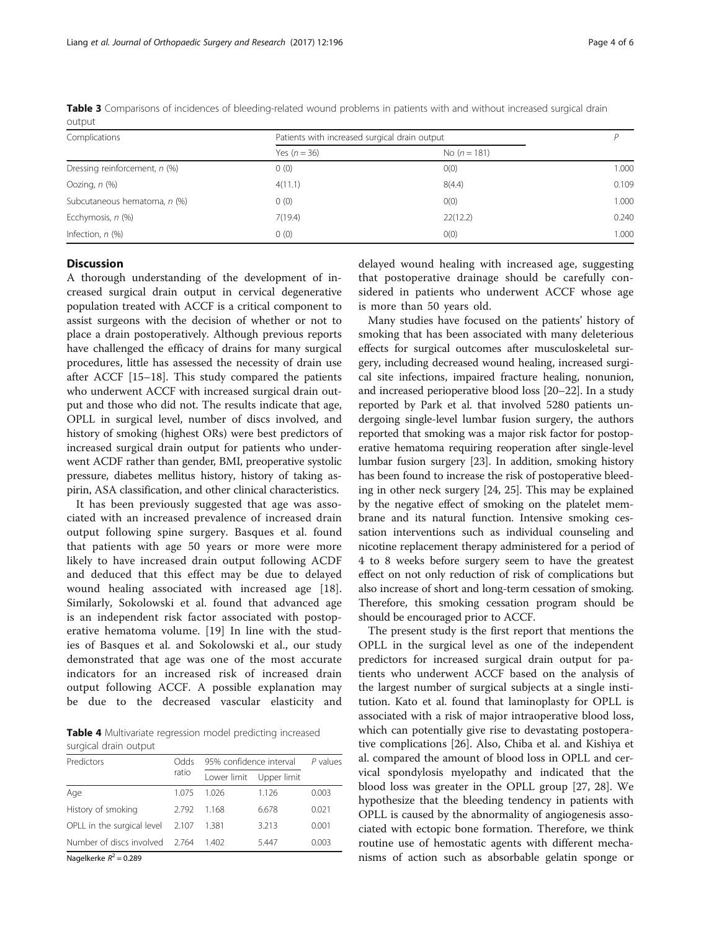| Complications                 | Patients with increased surgical drain output |                |       |
|-------------------------------|-----------------------------------------------|----------------|-------|
|                               | Yes $(n = 36)$                                | No $(n = 181)$ |       |
| Dressing reinforcement, n (%) | 0(0)                                          | O(0)           | 1.000 |
| Oozing, n (%)                 | 4(11.1)                                       | 8(4.4)         | 0.109 |
| Subcutaneous hematoma, n (%)  | 0(0)                                          | O(0)           | 1.000 |
| Ecchymosis, n (%)             | 7(19.4)                                       | 22(12.2)       | 0.240 |
| Infection, $n$ $(\%)$         | 0(0)                                          | O(0)           | 1.000 |

<span id="page-3-0"></span>Table 3 Comparisons of incidences of bleeding-related wound problems in patients with and without increased surgical drain output

## **Discussion**

A thorough understanding of the development of increased surgical drain output in cervical degenerative population treated with ACCF is a critical component to assist surgeons with the decision of whether or not to place a drain postoperatively. Although previous reports have challenged the efficacy of drains for many surgical procedures, little has assessed the necessity of drain use after ACCF [\[15](#page-4-0)–[18\]](#page-5-0). This study compared the patients who underwent ACCF with increased surgical drain output and those who did not. The results indicate that age, OPLL in surgical level, number of discs involved, and history of smoking (highest ORs) were best predictors of increased surgical drain output for patients who underwent ACDF rather than gender, BMI, preoperative systolic pressure, diabetes mellitus history, history of taking aspirin, ASA classification, and other clinical characteristics.

It has been previously suggested that age was associated with an increased prevalence of increased drain output following spine surgery. Basques et al. found that patients with age 50 years or more were more likely to have increased drain output following ACDF and deduced that this effect may be due to delayed wound healing associated with increased age [\[18](#page-5-0)]. Similarly, Sokolowski et al. found that advanced age is an independent risk factor associated with postoperative hematoma volume. [[19\]](#page-5-0) In line with the studies of Basques et al. and Sokolowski et al., our study demonstrated that age was one of the most accurate indicators for an increased risk of increased drain output following ACCF. A possible explanation may be due to the decreased vascular elasticity and

Table 4 Multivariate regression model predicting increased surgical drain output

| Predictors                         | Odds<br>ratio | 95% confidence interval |                         | P values |
|------------------------------------|---------------|-------------------------|-------------------------|----------|
|                                    |               |                         | Lower limit Upper limit |          |
| Age                                | 1075          | 1026                    | 1.126                   | 0.003    |
| History of smoking                 | 2.792         | 1.168                   | 6.678                   | 0.021    |
| OPLL in the surgical level 2.107   |               | 1.381                   | 3.213                   | 0.001    |
| Number of discs involved 2.764     |               | 1402                    | 5.447                   | 0.003    |
| $M_{\odot}$ $11.1.1$ $R^2$ $R$ 200 |               |                         |                         |          |

Nagelkerke  $R^2 = 0.289$ 

delayed wound healing with increased age, suggesting that postoperative drainage should be carefully considered in patients who underwent ACCF whose age is more than 50 years old.

Many studies have focused on the patients' history of smoking that has been associated with many deleterious effects for surgical outcomes after musculoskeletal surgery, including decreased wound healing, increased surgical site infections, impaired fracture healing, nonunion, and increased perioperative blood loss [[20](#page-5-0)–[22\]](#page-5-0). In a study reported by Park et al. that involved 5280 patients undergoing single-level lumbar fusion surgery, the authors reported that smoking was a major risk factor for postoperative hematoma requiring reoperation after single-level lumbar fusion surgery [[23](#page-5-0)]. In addition, smoking history has been found to increase the risk of postoperative bleeding in other neck surgery [[24](#page-5-0), [25](#page-5-0)]. This may be explained by the negative effect of smoking on the platelet membrane and its natural function. Intensive smoking cessation interventions such as individual counseling and nicotine replacement therapy administered for a period of 4 to 8 weeks before surgery seem to have the greatest effect on not only reduction of risk of complications but also increase of short and long-term cessation of smoking. Therefore, this smoking cessation program should be should be encouraged prior to ACCF.

The present study is the first report that mentions the OPLL in the surgical level as one of the independent predictors for increased surgical drain output for patients who underwent ACCF based on the analysis of the largest number of surgical subjects at a single institution. Kato et al. found that laminoplasty for OPLL is associated with a risk of major intraoperative blood loss, which can potentially give rise to devastating postoperative complications [\[26](#page-5-0)]. Also, Chiba et al. and Kishiya et al. compared the amount of blood loss in OPLL and cervical spondylosis myelopathy and indicated that the blood loss was greater in the OPLL group [[27](#page-5-0), [28](#page-5-0)]. We hypothesize that the bleeding tendency in patients with OPLL is caused by the abnormality of angiogenesis associated with ectopic bone formation. Therefore, we think routine use of hemostatic agents with different mechanisms of action such as absorbable gelatin sponge or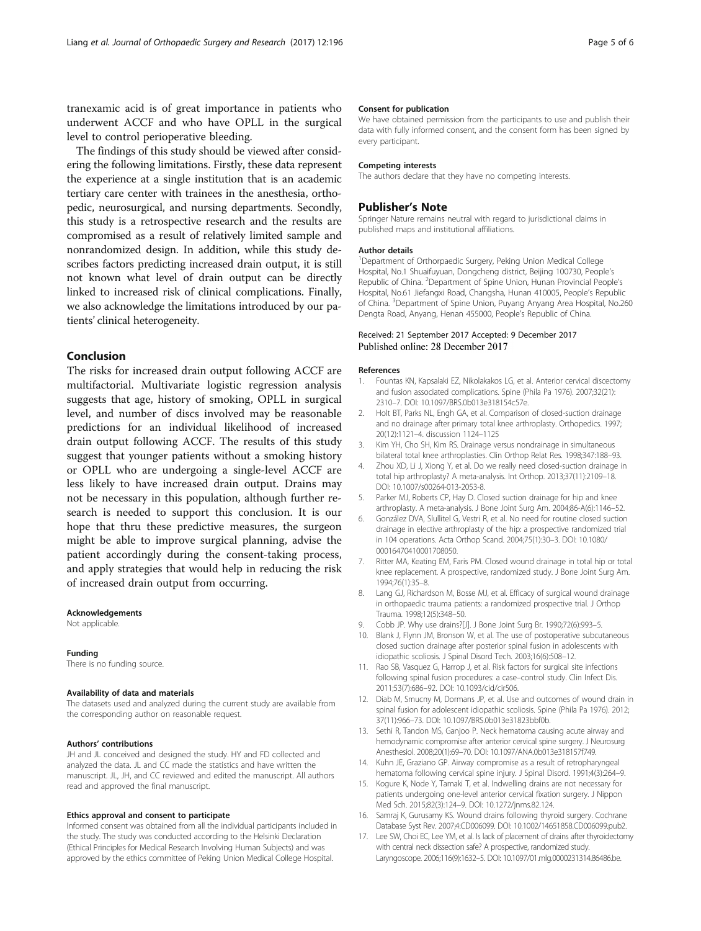<span id="page-4-0"></span>tranexamic acid is of great importance in patients who underwent ACCF and who have OPLL in the surgical level to control perioperative bleeding.

The findings of this study should be viewed after considering the following limitations. Firstly, these data represent the experience at a single institution that is an academic tertiary care center with trainees in the anesthesia, orthopedic, neurosurgical, and nursing departments. Secondly, this study is a retrospective research and the results are compromised as a result of relatively limited sample and nonrandomized design. In addition, while this study describes factors predicting increased drain output, it is still not known what level of drain output can be directly linked to increased risk of clinical complications. Finally, we also acknowledge the limitations introduced by our patients' clinical heterogeneity.

## Conclusion

The risks for increased drain output following ACCF are multifactorial. Multivariate logistic regression analysis suggests that age, history of smoking, OPLL in surgical level, and number of discs involved may be reasonable predictions for an individual likelihood of increased drain output following ACCF. The results of this study suggest that younger patients without a smoking history or OPLL who are undergoing a single-level ACCF are less likely to have increased drain output. Drains may not be necessary in this population, although further research is needed to support this conclusion. It is our hope that thru these predictive measures, the surgeon might be able to improve surgical planning, advise the patient accordingly during the consent-taking process, and apply strategies that would help in reducing the risk of increased drain output from occurring.

#### Acknowledgements

Not applicable.

#### Funding

There is no funding source.

#### Availability of data and materials

The datasets used and analyzed during the current study are available from the corresponding author on reasonable request.

#### Authors' contributions

JH and JL conceived and designed the study. HY and FD collected and analyzed the data. JL and CC made the statistics and have written the manuscript. JL, JH, and CC reviewed and edited the manuscript. All authors read and approved the final manuscript.

#### Ethics approval and consent to participate

Informed consent was obtained from all the individual participants included in the study. The study was conducted according to the Helsinki Declaration (Ethical Principles for Medical Research Involving Human Subjects) and was approved by the ethics committee of Peking Union Medical College Hospital.

#### Consent for publication

We have obtained permission from the participants to use and publish their data with fully informed consent, and the consent form has been signed by every participant.

#### Competing interests

The authors declare that they have no competing interests.

#### Publisher's Note

Springer Nature remains neutral with regard to jurisdictional claims in published maps and institutional affiliations.

#### Author details

<sup>1</sup>Department of Orthorpaedic Surgery, Peking Union Medical College Hospital, No.1 Shuaifuyuan, Dongcheng district, Beijing 100730, People's Republic of China. <sup>2</sup> Department of Spine Union, Hunan Provincial People's Hospital, No.61 Jiefangxi Road, Changsha, Hunan 410005, People's Republic of China. <sup>3</sup>Department of Spine Union, Puyang Anyang Area Hospital, No.260 Dengta Road, Anyang, Henan 455000, People's Republic of China.

## Received: 21 September 2017 Accepted: 9 December 2017 Published online: 28 December 2017

#### References

- 1. Fountas KN, Kapsalaki EZ, Nikolakakos LG, et al. Anterior cervical discectomy and fusion associated complications. Spine (Phila Pa 1976). 2007;32(21): 2310–7. DOI: [10.1097/BRS.0b013e318154c57e](http://dx.doi.org/10.1097/BRS.0b013e318154c57e).
- 2. Holt BT, Parks NL, Engh GA, et al. Comparison of closed-suction drainage and no drainage after primary total knee arthroplasty. Orthopedics. 1997; 20(12):1121–4. discussion 1124–1125
- 3. Kim YH, Cho SH, Kim RS. Drainage versus nondrainage in simultaneous bilateral total knee arthroplasties. Clin Orthop Relat Res. 1998;347:188–93.
- 4. Zhou XD, Li J, Xiong Y, et al. Do we really need closed-suction drainage in total hip arthroplasty? A meta-analysis. Int Orthop. 2013;37(11):2109–18. DOI: [10.1007/s00264-013-2053-8](http://dx.doi.org/10.1007/s00264-013-2053-8).
- 5. Parker MJ, Roberts CP, Hay D. Closed suction drainage for hip and knee arthroplasty. A meta-analysis. J Bone Joint Surg Am. 2004;86-A(6):1146–52.
- 6. González DVA, Slullitel G, Vestri R, et al. No need for routine closed suction drainage in elective arthroplasty of the hip: a prospective randomized trial in 104 operations. Acta Orthop Scand. 2004;75(1):30–3. DOI: [10.1080/](http://dx.doi.org/10.1080/00016470410001708050) [00016470410001708050](http://dx.doi.org/10.1080/00016470410001708050).
- 7. Ritter MA, Keating EM, Faris PM. Closed wound drainage in total hip or total knee replacement. A prospective, randomized study. J Bone Joint Surg Am. 1994;76(1):35–8.
- 8. Lang GJ, Richardson M, Bosse MJ, et al. Efficacy of surgical wound drainage in orthopaedic trauma patients: a randomized prospective trial. J Orthop Trauma. 1998;12(5):348–50.
- 9. Cobb JP. Why use drains?[J]. J Bone Joint Surg Br. 1990;72(6):993–5.
- 10. Blank J, Flynn JM, Bronson W, et al. The use of postoperative subcutaneous closed suction drainage after posterior spinal fusion in adolescents with idiopathic scoliosis. J Spinal Disord Tech. 2003;16(6):508–12.
- 11. Rao SB, Vasquez G, Harrop J, et al. Risk factors for surgical site infections following spinal fusion procedures: a case–control study. Clin Infect Dis. 2011;53(7):686–92. DOI: [10.1093/cid/cir506.](http://dx.doi.org/10.1093/cid/cir506)
- 12. Diab M, Smucny M, Dormans JP, et al. Use and outcomes of wound drain in spinal fusion for adolescent idiopathic scoliosis. Spine (Phila Pa 1976). 2012; 37(11):966–73. DOI: [10.1097/BRS.0b013e31823bbf0b.](http://dx.doi.org/10.1097/BRS.0b013e31823bbf0b)
- 13. Sethi R, Tandon MS, Ganjoo P. Neck hematoma causing acute airway and hemodynamic compromise after anterior cervical spine surgery. J Neurosurg Anesthesiol. 2008;20(1):69–70. DOI: [10.1097/ANA.0b013e318157f749.](http://dx.doi.org/10.1097/ANA.0b013e318157f749)
- 14. Kuhn JE, Graziano GP. Airway compromise as a result of retropharyngeal hematoma following cervical spine injury. J Spinal Disord. 1991;4(3):264–9.
- 15. Kogure K, Node Y, Tamaki T, et al. Indwelling drains are not necessary for patients undergoing one-level anterior cervical fixation surgery. J Nippon Med Sch. 2015;82(3):124–9. DOI: [10.1272/jnms.82.124.](http://dx.doi.org/10.1272/jnms.82.124)
- 16. Samraj K, Gurusamy KS. Wound drains following thyroid surgery. Cochrane Database Syst Rev. 2007;4:CD006099. DOI: [10.1002/14651858.CD006099.pub2](http://dx.doi.org/10.1002/14651858.CD006099.pub2).
- 17. Lee SW, Choi EC, Lee YM, et al. Is lack of placement of drains after thyroidectomy with central neck dissection safe? A prospective, randomized study. Laryngoscope. 2006;116(9):1632–5. DOI: [10.1097/01.mlg.0000231314.86486.be](http://dx.doi.org/10.1097/01.mlg.0000231314.86486.be).